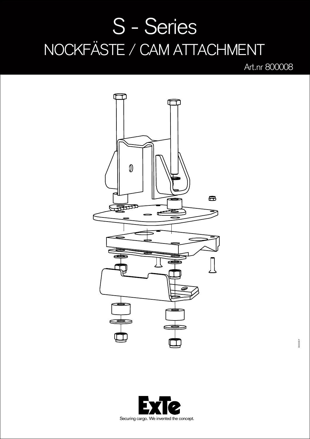## S - Series NOCKFÄSTE / CAM ATTACHMENT

Art.nr 800008